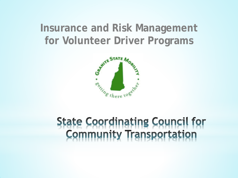## **Insurance and Risk Management for Volunteer Driver Programs**



# **State Coordinating Council for<br>Community Transportation**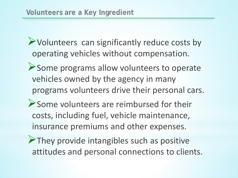Volunteers can significantly reduce costs by operating vehicles without compensation.

- Some programs allow volunteers to operate vehicles owned by the agency in many programs volunteers drive their personal cars.
- Some volunteers are reimbursed for their costs, including fuel, vehicle maintenance, insurance premiums and other expenses.
- $\triangleright$  They provide intangibles such as positive attitudes and personal connections to clients.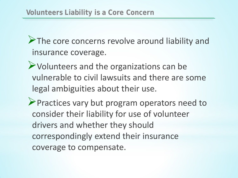The core concerns revolve around liability and insurance coverage.

Volunteers and the organizations can be vulnerable to civil lawsuits and there are some legal ambiguities about their use.

**Practices vary but program operators need to** consider their liability for use of volunteer drivers and whether they should correspondingly extend their insurance coverage to compensate.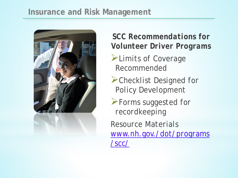#### **Insurance and Risk Management**



### *SCC Recommendations for Volunteer Driver Programs*

- *Limits of Coverage Recommended*
- *Checklist Designed for Policy Development*
- *Forms suggested for recordkeeping Resource Materials [www.nh.gov./dot/programs](http://www.nh.gov./dot/programs/scc/) [/scc/](http://www.nh.gov./dot/programs/scc/)*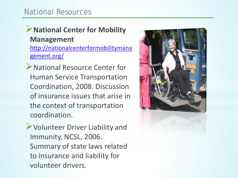#### National Resources

#### **National Center for Mobility Management**  [http://nationalcenterformobilitymana](http://nationalcenterformobilitymanagement.org/) [gement.org/](http://nationalcenterformobilitymanagement.org/)

National Resource Center for Human Service Transportation Coordination, 2008. Discussion of insurance issues that arise in the context of transportation coordination.

Volunteer Driver Liability and Immunity, NCSL, 2006. Summary of state laws related to insurance and liability for volunteer drivers.

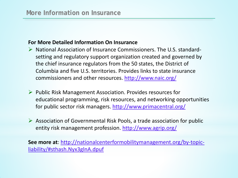#### **For More Detailed Information On Insurance**

- $\triangleright$  National Association of Insurance Commissioners. The U.S. standardsetting and regulatory support organization created and governed by the chief insurance regulators from the 50 states, the District of Columbia and five U.S. territories. Provides links to state insurance commissioners and other resources.<http://www.naic.org/>
- $\triangleright$  Public Risk Management Association. Provides resources for educational programming, risk resources, and networking opportunities for public sector risk managers.<http://www.primacentral.org/>
- $\triangleright$  Association of Governmental Risk Pools, a trade association for public entity risk management profession.<http://www.agrip.org/>

**See more at**: [http://nationalcenterformobilitymanagement.org/by-topic](http://nationalcenterformobilitymanagement.org/by-topic-liability/)[liability/#sthash.Nyx3glnA.dpuf](http://nationalcenterformobilitymanagement.org/by-topic-liability/)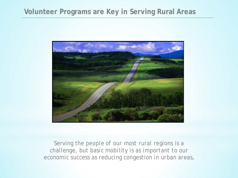#### **Volunteer Programs are Key in Serving Rural Areas**



*Serving the people of our most rural regions is a challenge, but basic mobility is as important to our economic success as reducing congestion in urban areas*.